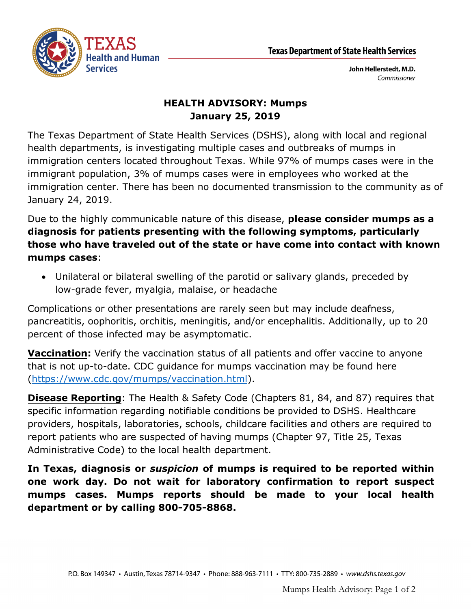

John Hellerstedt, M.D. Commissioner

## **HEALTH ADVISORY: Mumps January 25, 2019**

The Texas Department of State Health Services (DSHS), along with local and regional health departments, is investigating multiple cases and outbreaks of mumps in immigration centers located throughout Texas. While 97% of mumps cases were in the immigrant population, 3% of mumps cases were in employees who worked at the immigration center. There has been no documented transmission to the community as of January 24, 2019.

Due to the highly communicable nature of this disease, **please consider mumps as a diagnosis for patients presenting with the following symptoms, particularly those who have traveled out of the state or have come into contact with known mumps cases**:

 Unilateral or bilateral swelling of the parotid or salivary glands, preceded by low-grade fever, myalgia, malaise, or headache

Complications or other presentations are rarely seen but may include deafness, pancreatitis, oophoritis, orchitis, meningitis, and/or encephalitis. Additionally, up to 20 percent of those infected may be asymptomatic.

**Vaccination:** Verify the vaccination status of all patients and offer vaccine to anyone that is not up-to-date. CDC guidance for mumps vaccination may be found here [\(https://www.cdc.gov/mumps/vaccination.html\)](https://www.cdc.gov/mumps/vaccination.html).

**Disease Reporting**: The Health & Safety Code (Chapters 81, 84, and 87) requires that specific information regarding notifiable conditions be provided to DSHS. Healthcare providers, hospitals, laboratories, schools, childcare facilities and others are required to report patients who are suspected of having mumps (Chapter 97, Title 25, Texas Administrative Code) to the local health department.

**In Texas, diagnosis or** *suspicion* **of mumps is required to be reported within one work day. Do not wait for laboratory confirmation to report suspect mumps cases. Mumps reports should be made to your local health department or by calling 800-705-8868.**